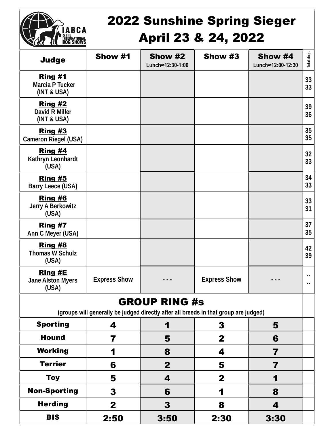

## 2022 Sunshine Spring Sieger April 23 & 24, 2022

| <b>Judge</b>                                            | Show #1             | Show #2<br>Lunch≈12:30-1:00                                                                                  | Show #3             | Show #4<br>Lunch≈12:00-12:30 | Total dogs   |
|---------------------------------------------------------|---------------------|--------------------------------------------------------------------------------------------------------------|---------------------|------------------------------|--------------|
| <b>Ring #1</b><br><b>Marcia P Tucker</b><br>(INT & USA) |                     |                                                                                                              |                     |                              | 33<br>33     |
| <b>Ring #2</b><br><b>David R Miller</b><br>(INT & USA)  |                     |                                                                                                              |                     |                              | 39<br>36     |
| <b>Ring #3</b><br><b>Cameron Riegel (USA)</b>           |                     |                                                                                                              |                     |                              | 35<br>35     |
| <b>Ring #4</b><br>Kathryn Leonhardt<br>(USA)            |                     |                                                                                                              |                     |                              | 32<br>33     |
| <b>Ring #5</b><br><b>Barry Leece (USA)</b>              |                     |                                                                                                              |                     |                              | 34<br>33     |
| <b>Ring #6</b><br>Jerry A Berkowitz<br>(USA)            |                     |                                                                                                              |                     |                              | 33<br>31     |
| <b>Ring #7</b><br>Ann C Meyer (USA)                     |                     |                                                                                                              |                     |                              | 37<br>35     |
| <b>Ring #8</b><br><b>Thomas W Schulz</b><br>(USA)       |                     |                                                                                                              |                     |                              | 42<br>39     |
| <b>Ring #E</b><br><b>Jane Alston Myers</b><br>(USA)     | <b>Express Show</b> |                                                                                                              | <b>Express Show</b> |                              | $\sim$<br>н. |
|                                                         |                     | <b>GROUP RING #s</b><br>(groups will generally be judged directly after all breeds in that group are judged) |                     |                              |              |
| <b>Sporting</b>                                         | 4                   | 1                                                                                                            | 3                   | 5                            |              |
| <b>Hound</b>                                            | 7                   | 5                                                                                                            | $\mathbf{2}$        | 6                            |              |
| <b>Working</b>                                          | 1                   | 8                                                                                                            | 4                   | $\overline{\mathbf{z}}$      |              |
| <b>Terrier</b>                                          | 6                   | $\mathbf{2}$                                                                                                 | 5                   | $\overline{7}$               |              |
| <b>Toy</b>                                              | 5                   | 4                                                                                                            | $\mathbf{2}$        | 1                            |              |
| <b>Non-Sporting</b>                                     | 3                   | 6                                                                                                            | 1                   | 8                            |              |
| <b>Herding</b>                                          | $\mathbf{2}$        | $\overline{\mathbf{3}}$                                                                                      | 8                   | 4                            |              |
| <b>BIS</b>                                              | 2:50                | 3:50                                                                                                         | 2:30                | 3:30                         |              |